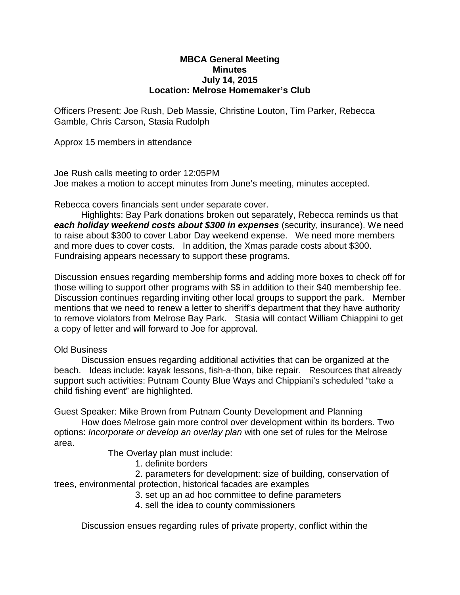## **MBCA General Meeting Minutes July 14, 2015 Location: Melrose Homemaker's Club**

Officers Present: Joe Rush, Deb Massie, Christine Louton, Tim Parker, Rebecca Gamble, Chris Carson, Stasia Rudolph

Approx 15 members in attendance

Joe Rush calls meeting to order 12:05PM Joe makes a motion to accept minutes from June's meeting, minutes accepted.

Rebecca covers financials sent under separate cover.

Highlights: Bay Park donations broken out separately, Rebecca reminds us that *each holiday weekend costs about \$300 in expenses* (security, insurance). We need to raise about \$300 to cover Labor Day weekend expense. We need more members and more dues to cover costs. In addition, the Xmas parade costs about \$300. Fundraising appears necessary to support these programs.

Discussion ensues regarding membership forms and adding more boxes to check off for those willing to support other programs with \$\$ in addition to their \$40 membership fee. Discussion continues regarding inviting other local groups to support the park. Member mentions that we need to renew a letter to sheriff's department that they have authority to remove violators from Melrose Bay Park. Stasia will contact William Chiappini to get a copy of letter and will forward to Joe for approval.

## Old Business

Discussion ensues regarding additional activities that can be organized at the beach. Ideas include: kayak lessons, fish-a-thon, bike repair. Resources that already support such activities: Putnam County Blue Ways and Chippiani's scheduled "take a child fishing event" are highlighted.

Guest Speaker: Mike Brown from Putnam County Development and Planning

How does Melrose gain more control over development within its borders. Two options: *Incorporate or develop an overlay plan* with one set of rules for the Melrose area.

The Overlay plan must include:

1. definite borders

2. parameters for development: size of building, conservation of trees, environmental protection, historical facades are examples

- 3. set up an ad hoc committee to define parameters
- 4. sell the idea to county commissioners

Discussion ensues regarding rules of private property, conflict within the